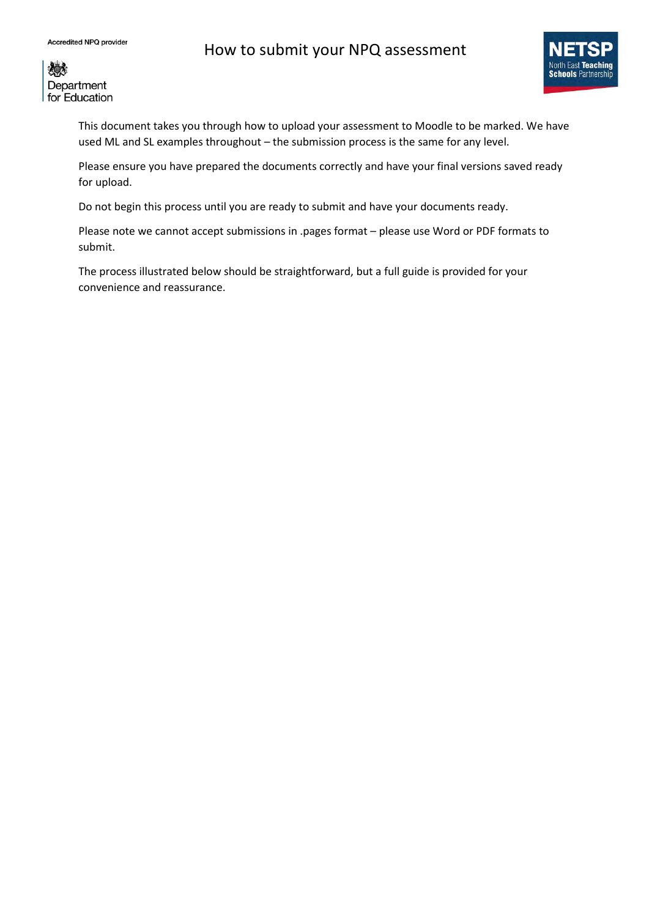# How to submit your NPQ assessment



《美 Department for Education

> This document takes you through how to upload your assessment to Moodle to be marked. We have used ML and SL examples throughout – the submission process is the same for any level.

Please ensure you have prepared the documents correctly and have your final versions saved ready for upload.

Do not begin this process until you are ready to submit and have your documents ready.

Please note we cannot accept submissions in .pages format – please use Word or PDF formats to submit.

The process illustrated below should be straightforward, but a full guide is provided for your convenience and reassurance.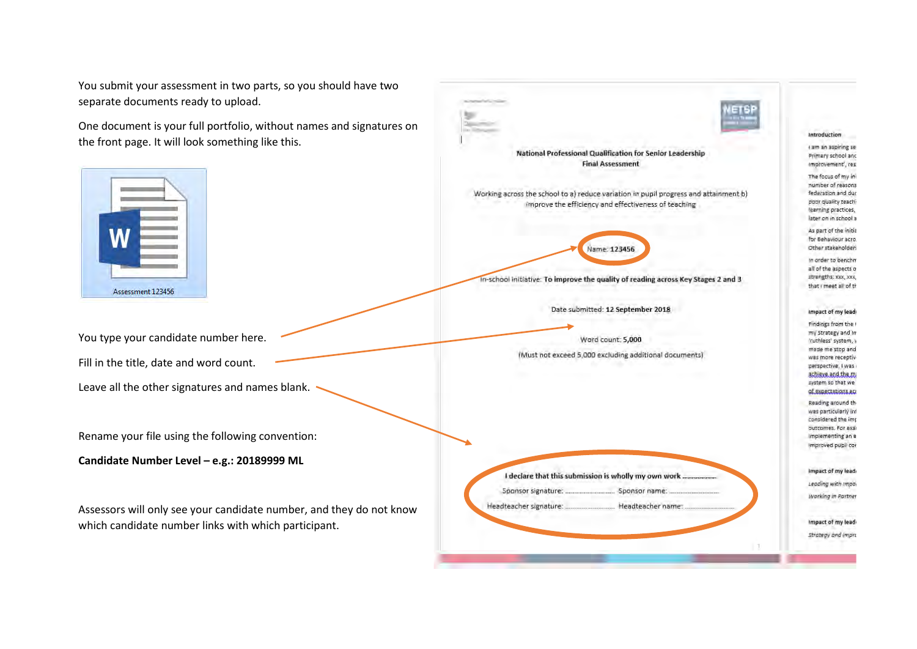You submit your assessment in two parts, so you sho separate documents ready to upload.

One document is your full portfolio, without names and signatures on the front page. It will look something like this.



You type your candidate number here.

Fill in the title, date and word count.

Leave all the other signatures and names blank.

Rename your file using the following convention:

**Candidate Number Level – e.g.: 20189999 ML**

Assessors will only see your candidate number, and the which candidate number links with which participan

| ould have two     |                                                                                                                                              |                                                                                                                                      |
|-------------------|----------------------------------------------------------------------------------------------------------------------------------------------|--------------------------------------------------------------------------------------------------------------------------------------|
| and signatures on |                                                                                                                                              |                                                                                                                                      |
|                   |                                                                                                                                              | Introduction                                                                                                                         |
|                   | National Professional Qualification for Senior Leadership<br><b>Final Assessment</b>                                                         | I am an aspiring set<br>Primary school and<br>improvement', res.                                                                     |
|                   | Working across the school to a) reduce variation in pupil progress and attainment b)<br>improve the efficiency and effectiveness of teaching | The focus of my ini<br>number of reasons<br>federation and dur<br>poor quality teach?<br>learning practices,<br>later on in school a |
|                   | Name: 123456                                                                                                                                 | As part of the initia<br>for Behaviour acro.<br>Other stakeholders                                                                   |
|                   | In-school initiative: To improve the quality of reading across Key Stages 2 and 3                                                            | In order to benchm<br>all of the aspects o<br>strengths: xxx, xxx,<br>that I meet all of th                                          |
|                   | Date submitted: 12 September 2018                                                                                                            | Impact of my lead                                                                                                                    |
|                   | Word count: 5,000                                                                                                                            | Findings from the I<br>my Strategy and In                                                                                            |
|                   | (Must not exceed 5,000 excluding additional documents)                                                                                       | 'ruthless' system, y<br>made me stop and<br>was more receptiv-                                                                       |
|                   |                                                                                                                                              | perspective, I was<br>ashieve and the mi<br>system so that we                                                                        |
|                   |                                                                                                                                              | of expectations act<br>Reading around the<br>wes particularly inf<br>considered the imp                                              |
|                   |                                                                                                                                              | buttomes, For exa<br>implementing an e<br>improved pupil cor                                                                         |
|                   |                                                                                                                                              |                                                                                                                                      |
|                   |                                                                                                                                              | Impact of my lead                                                                                                                    |
|                   |                                                                                                                                              | Leading with impai                                                                                                                   |
| they do not know  | Headteacher signature:  Headteacher name:                                                                                                    | Working in Partner                                                                                                                   |
| t.                |                                                                                                                                              | Impact of my lead                                                                                                                    |
|                   |                                                                                                                                              | Strategy and impre                                                                                                                   |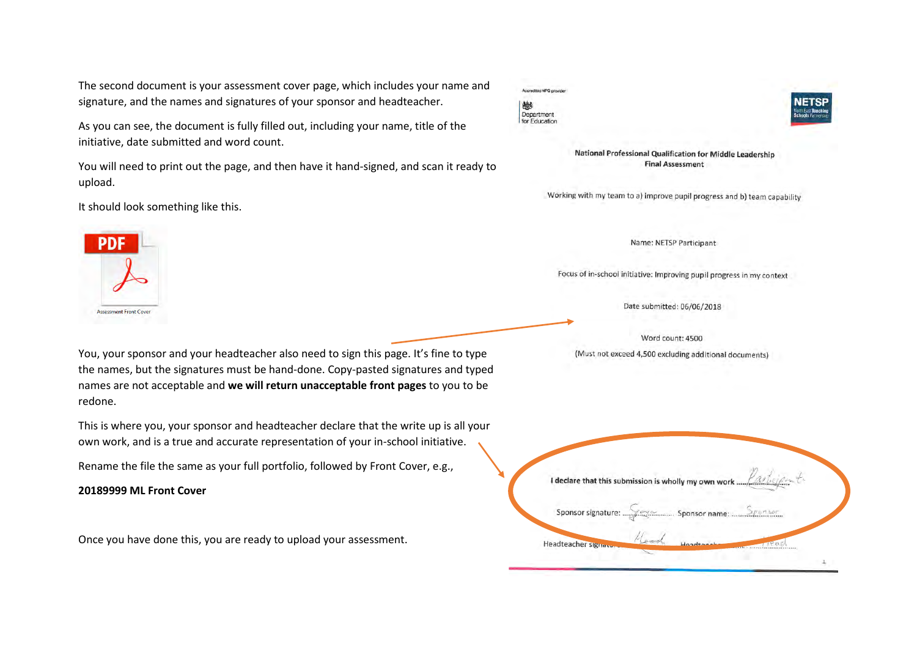The second document is your assessment cover page, which includes your name and signature, and the names and signatures of your sponsor and headteacher.

As you can see, the document is fully filled out, including your name, title of the initiative, date submitted and word count.

You will need to print out the page, and then have it hand-signed, and scan it ready to upload.

It should look something like this.





National Professional Qualification for Middle Leadership **Final Assessment** 

Working with my team to a) improve pupil progress and b) team capability

Name: NETSP Participant

Focus of in-school initiative: Improving pupil progress in my context

Date submitted: 06/06/2018

Word count: 4500 (Must not exceed 4,500 excluding additional documents)

You, your sponsor and your headteacher also need to sign this page. It's fine to type the names, but the signatures must be hand-done. Copy-pasted signatures and typed names are not acceptable and **we will return unacceptable front pages** to you to be redone.

This is where you, your sponsor and headteacher declare that the write up is all your own work, and is a true and accurate representation of your in-school initiative.

Rename the file the same as your full portfolio, followed by Front Cover, e.g.,

**20189999 ML Front Cover**

**Assessment Front Cover** 

Once you have done this, you are ready to upload your assessment.

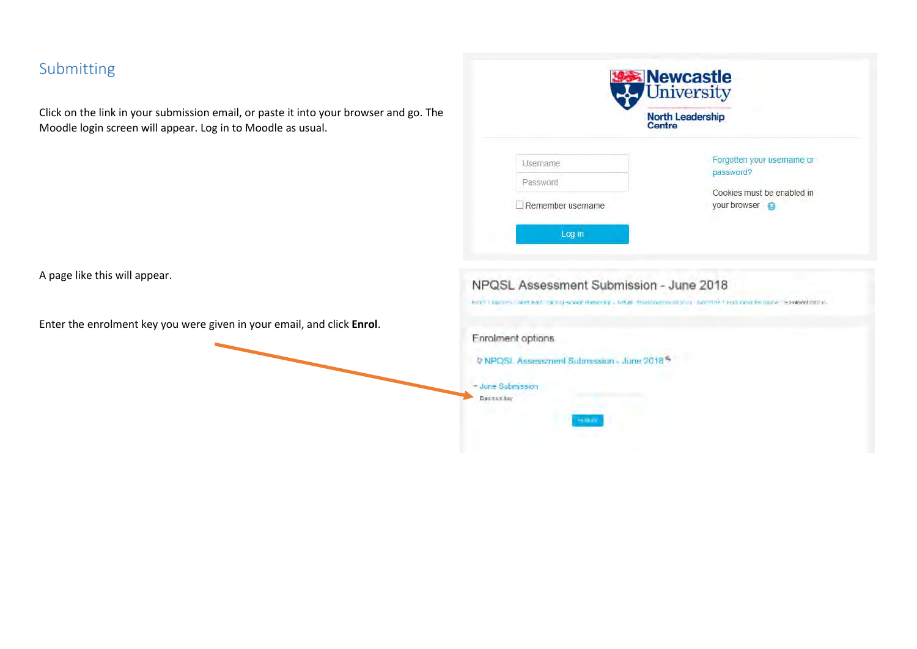# Submitting

Click on the link in your submission email, or paste it into your browser and go. The Moodle login screen will appear. Log in to Moodle as usual.

| Forgotten your username or<br>password?    |
|--------------------------------------------|
|                                            |
| Cookies must be enabled in<br>your browser |
|                                            |

A page like this will appear.

Enter the enrolment key you were given in your email, and click **Enrol**.

| Enrolment options |                                                        |  |
|-------------------|--------------------------------------------------------|--|
|                   | P NPQSL Assessment Submission - June 2018 <sup>%</sup> |  |
| - June Submission |                                                        |  |
| Ducker key        |                                                        |  |

NPQSL Assessment Submission - June 2018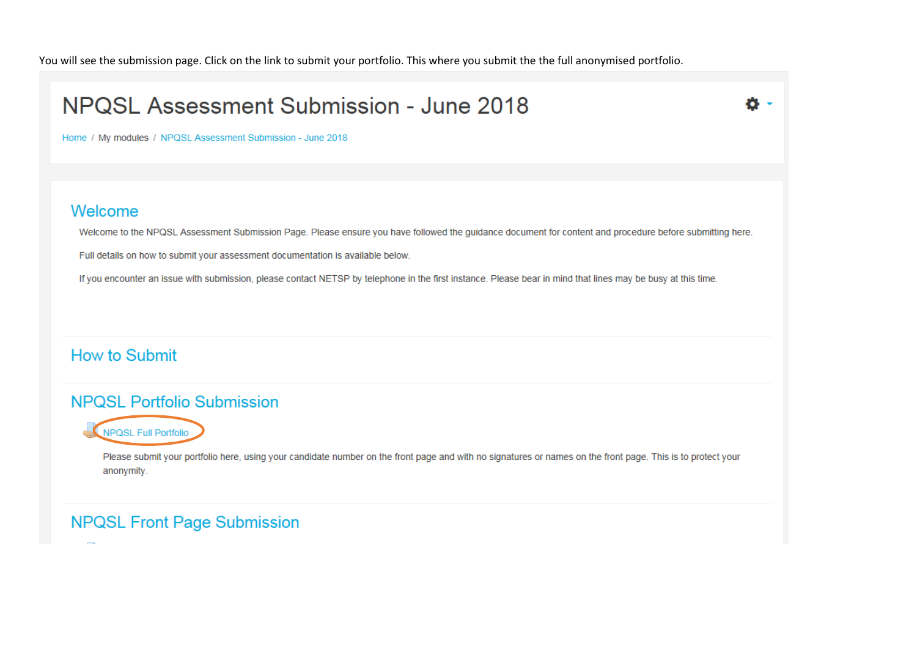You will see the submission page. Click on the link to submit your portfolio. This where you submit the the full anonymised portfolio.



## **NPQSL Portfolio Submission**



Please submit your portfolio here, using your candidate number on the front page and with no signatures or names on the front page. This is to protect your anonymity.

## **NPQSL Front Page Submission**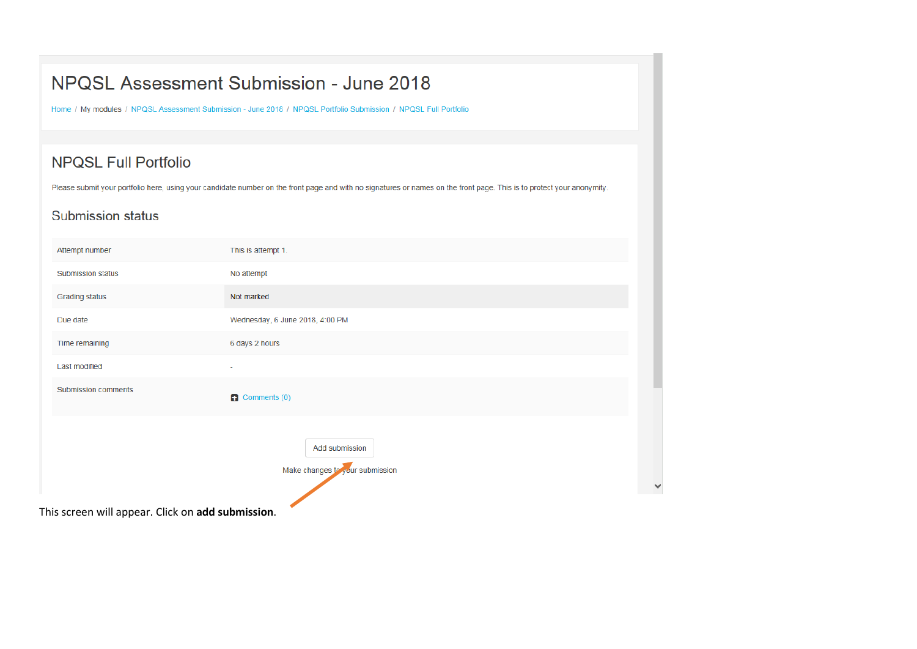Home / My modules / NPQSL Assessment Submission - June 2018 / NPQSL Portfolio Submission / NPQSL Full Portfolio

## **NPQSL Full Portfolio**

Please submit your portfolio here, using your candidate number on the front page and with no signatures or names on the front page. This is to protect your anonymity.

## **Submission status**

| Attempt number                                    | This is attempt 1.                                |  |
|---------------------------------------------------|---------------------------------------------------|--|
| Submission status                                 | No attempt                                        |  |
| Grading status                                    | Not marked                                        |  |
| Due date                                          | Wednesday, 6 June 2018, 4:00 PM                   |  |
| Time remaining                                    | 6 days 2 hours                                    |  |
| <b>Last modified</b>                              |                                                   |  |
| Submission comments                               | Comments (0)                                      |  |
|                                                   | Add submission<br>Make changes to your submission |  |
| This screen will appear. Click on add submission. |                                                   |  |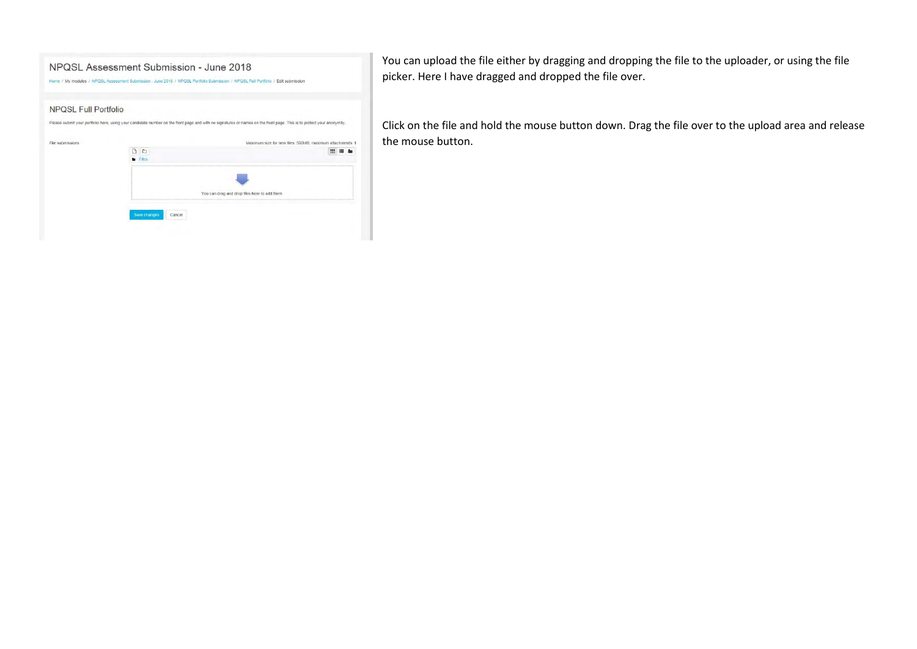

You can upload the file either by dragging and dropping the file to the uploader, or using the file picker. Here I have dragged and dropped the file over.

Click on the file and hold the mouse button down. Drag the file over to the upload area and release the mouse button.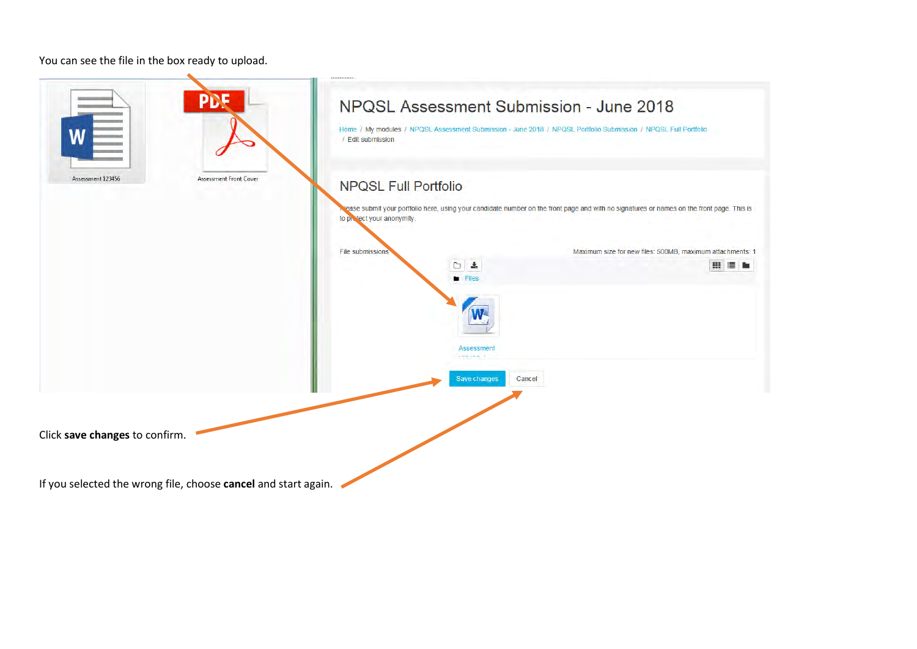You can see the file in the box ready to upload.

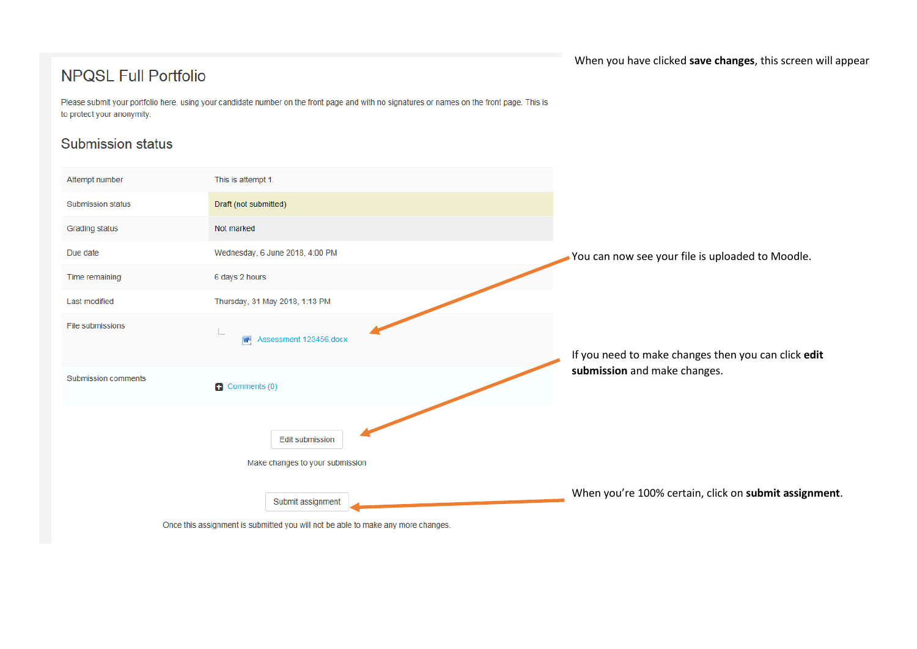#### When you have clicked **save changes**, this screen will appear

## **NPQSL Full Portfolio**

Please submit your portfolio here, using your candidate number on the front page and with no signatures or names on the front page. This is to protect your anonymity.

## **Submission status**

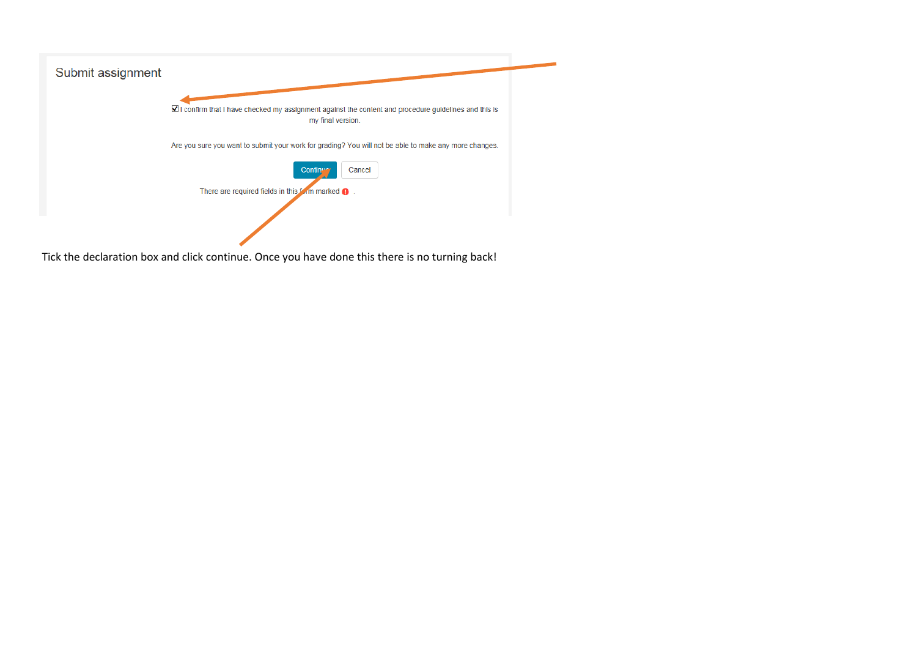

Tick the declaration box and click continue. Once you have done this there is no turning back!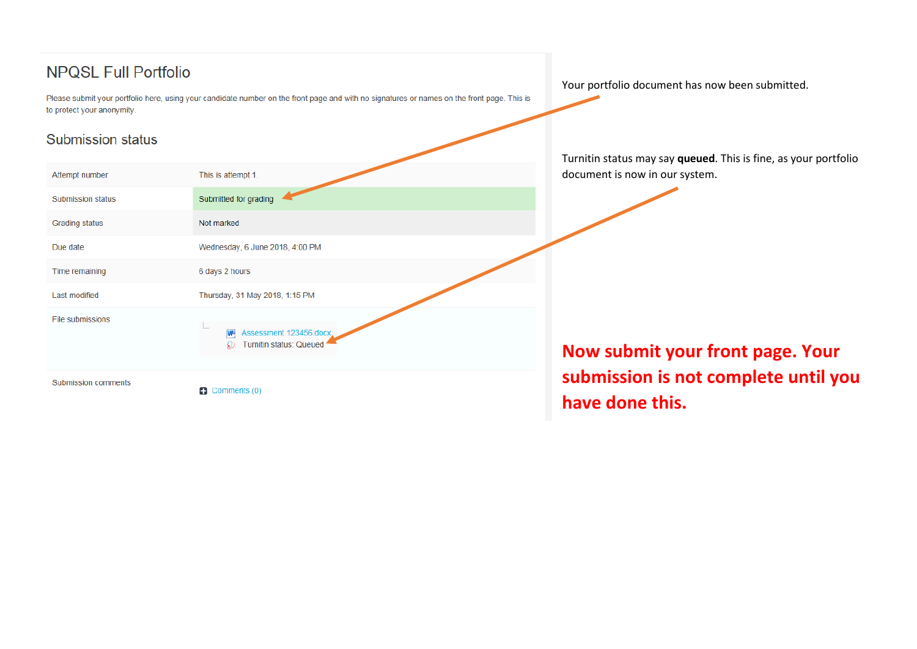## **NPQSL Full Portfolio**

Please submit your portfolio here, using your candidate number on the front page and with no signatures or names on the front page. This is to protect your anonymity.

## **Submission status**

| Attempt number           | This is attempt 1.                                     |
|--------------------------|--------------------------------------------------------|
| <b>Submission status</b> | Submitted for grading                                  |
| Grading status           | Not marked                                             |
| Due date                 | Wednesday, 6 June 2018, 4:00 PM                        |
| Time remaining           | 6 days 2 hours                                         |
| Last modified            | Thursday, 31 May 2018, 1:15 PM                         |
| File submissions         | i<br>Assessment 123456.docx<br>Turnitin status: Queued |
| Submission comments      |                                                        |

 $\Box$  Comments (0)

Your portfolio document has now been submitted.

Turnitin status may say **queued**. This is fine, as your portfolio document is now in our system.

**Now submit your front page. Your submission is not complete until you have done this.**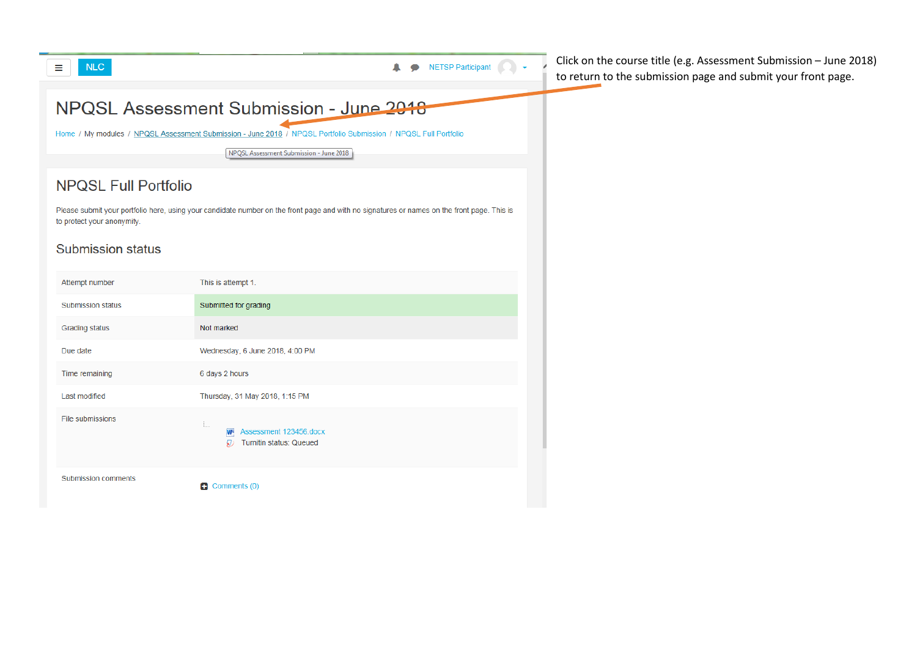

Click on the course title (e.g. Assessment Submission – June 2018) to return to the submission page and submit your front page.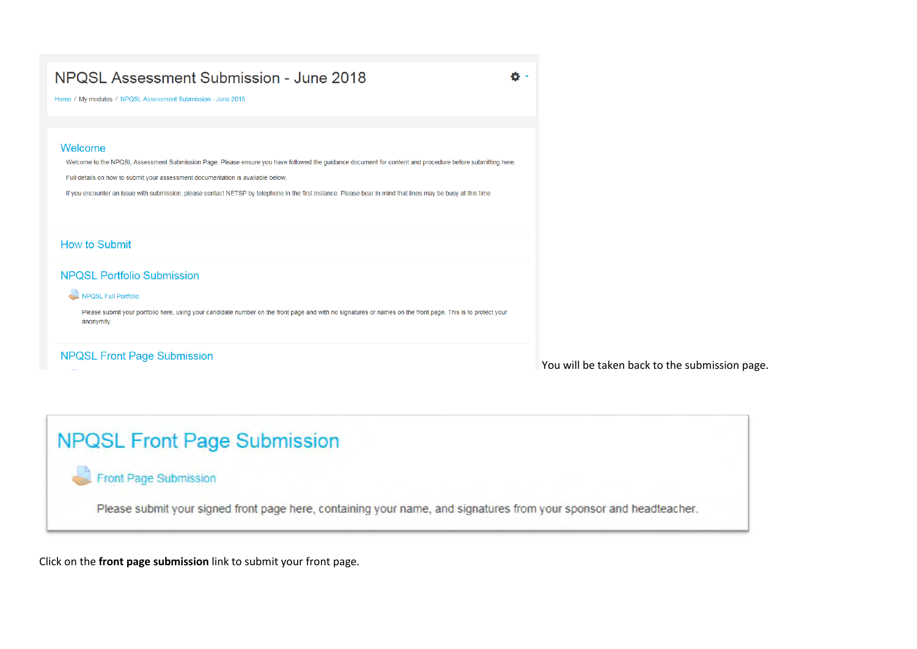ö.

Home / My modules / NPQSL Assessment Submission - June 2018

#### Welcome

Welcome to the NPQSL Assessment Submission Page. Please ensure you have followed the guidance document for content and procedure before submitting here.

Full details on how to submit your assessment documentation is available below.

If you encounter an issue with submission, please contact NETSP by telephone in the first instance. Please bear in mind that lines may be busy at this time.

#### How to Submit

#### **NPQSL Portfolio Submission**

#### NPQSL Full Portfolio

Please submit your portfolio here, using your candidate number on the front page and with no signatures or names on the front page. This is to protect your anonymity.

#### **NPQSL Front Page Submission**

You will be taken back to the submission page.

# **NPQSL Front Page Submission**

## **Front Page Submission**

Please submit your signed front page here, containing your name, and signatures from your sponsor and headteacher.

Click on the **front page submission** link to submit your front page.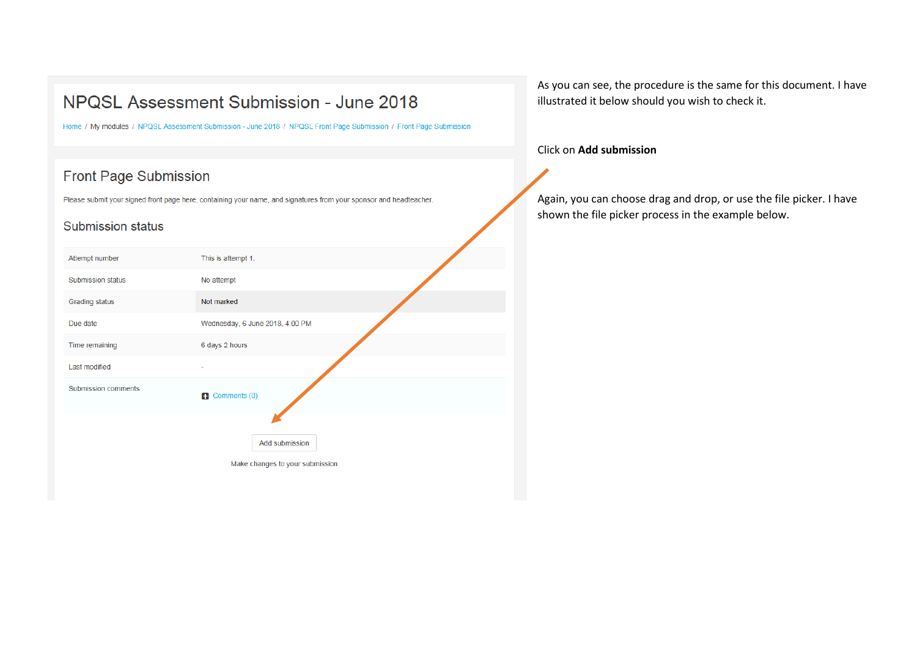Home / My modules / NPQSL Assessment Submission - June 2018 / NPQSL Front Page Submission / Front Page Submission

## **Front Page Submission**

Please submit your signed front page here, containing your name, and signatures from your sponsor and headteacher.

#### **Submission status**

| Attempt number             | This is attempt 1.              |
|----------------------------|---------------------------------|
| <b>Submission status</b>   | No attempt                      |
| <b>Grading status</b>      | Not marked                      |
| Due date                   | Wednesday, 6 June 2018, 4:00 PM |
| Time remaining             | 6 days 2 hours                  |
| Last modified              |                                 |
| <b>Submission comments</b> | Comments (0)                    |
|                            |                                 |
|                            | Add submission                  |
|                            | Make changes to your submission |

As you can see, the procedure is the same for this document. I have illustrated it below should you wish to check it.

#### Click on **Add submission**

Again, you can choose drag and drop, or use the file picker. I have shown the file picker process in the example below.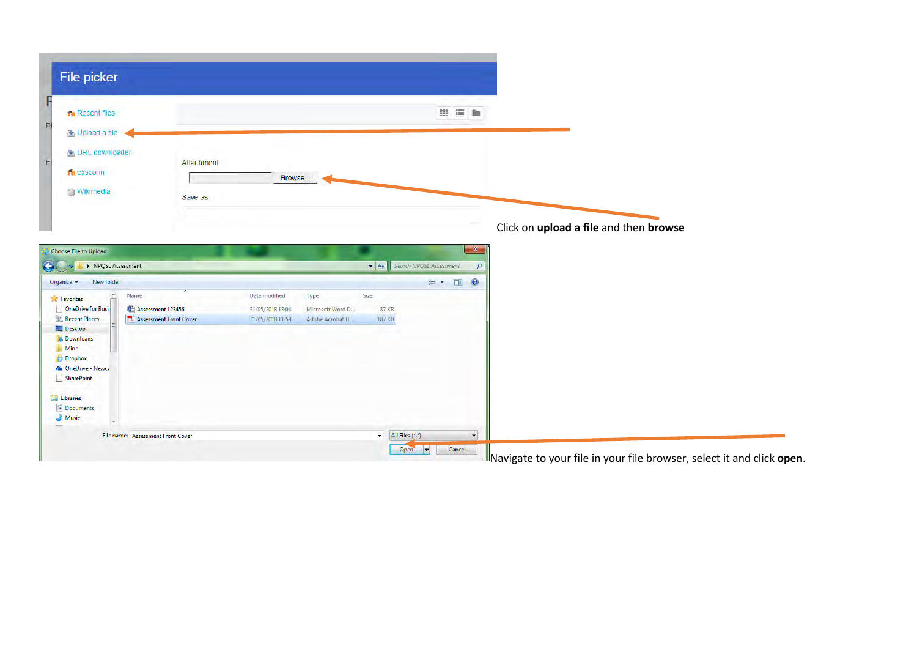| File picker                                                                                                                                                           |                                             |                                                       |                                             |                         |                                                     |                                        |  |
|-----------------------------------------------------------------------------------------------------------------------------------------------------------------------|---------------------------------------------|-------------------------------------------------------|---------------------------------------------|-------------------------|-----------------------------------------------------|----------------------------------------|--|
| <b>In Recent files</b><br>Opload a file                                                                                                                               |                                             |                                                       |                                             |                         | 田田島                                                 |                                        |  |
| <b>A</b> URL downloader<br>m exscorm<br>Wikimedia                                                                                                                     | Attachment<br>Save as                       | Browse                                                |                                             |                         |                                                     |                                        |  |
|                                                                                                                                                                       |                                             |                                                       |                                             |                         |                                                     | Click on upload a file and then browse |  |
|                                                                                                                                                                       |                                             |                                                       |                                             |                         |                                                     |                                        |  |
| Choose File to Upload<br>▶ NPQSL Assessment                                                                                                                           |                                             |                                                       |                                             | $\frac{1}{2}$           | $- x -$<br>Search NPQSL Assessment<br>$\mathcal{P}$ |                                        |  |
| New folder<br>Name                                                                                                                                                    | Assessment 123456<br>Assessment Front Cover | Date modified<br>31/05/2018 13:04<br>31/05/2018 11:59 | Type<br>Microsoft Word D<br>Adobe Acrobat D | Size<br>87 KB<br>187 KB | <b>細▼ 団</b><br>0                                    |                                        |  |
| Organize -<br><b>A</b> Favorites<br>OneDrive for Busir<br>Recent Places<br>Desktop<br>Downloads<br><b>Mine</b><br><b>Dropbox</b><br>Ca OneDrive - Newca<br>SharePoint |                                             |                                                       |                                             |                         |                                                     |                                        |  |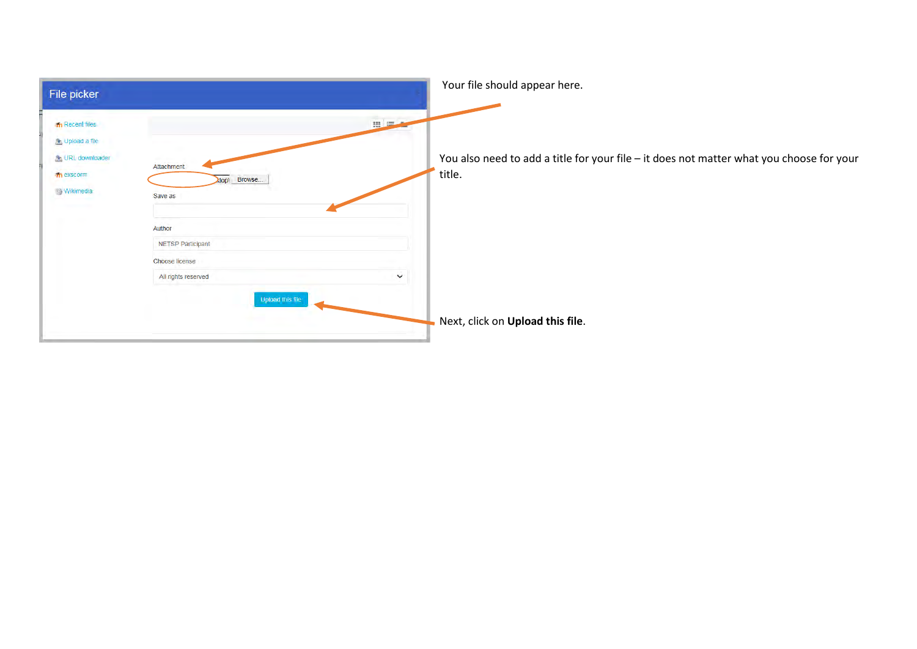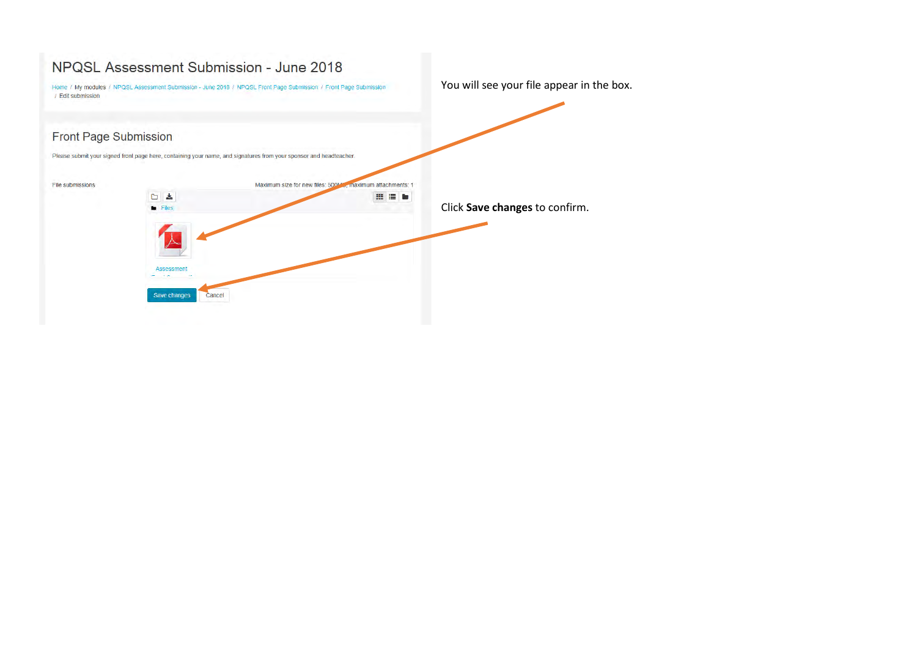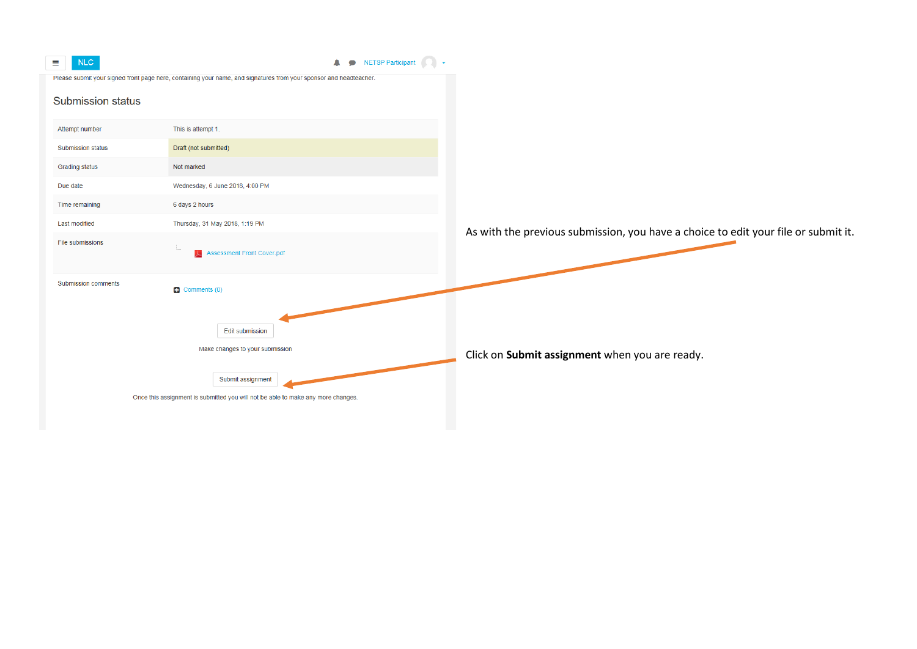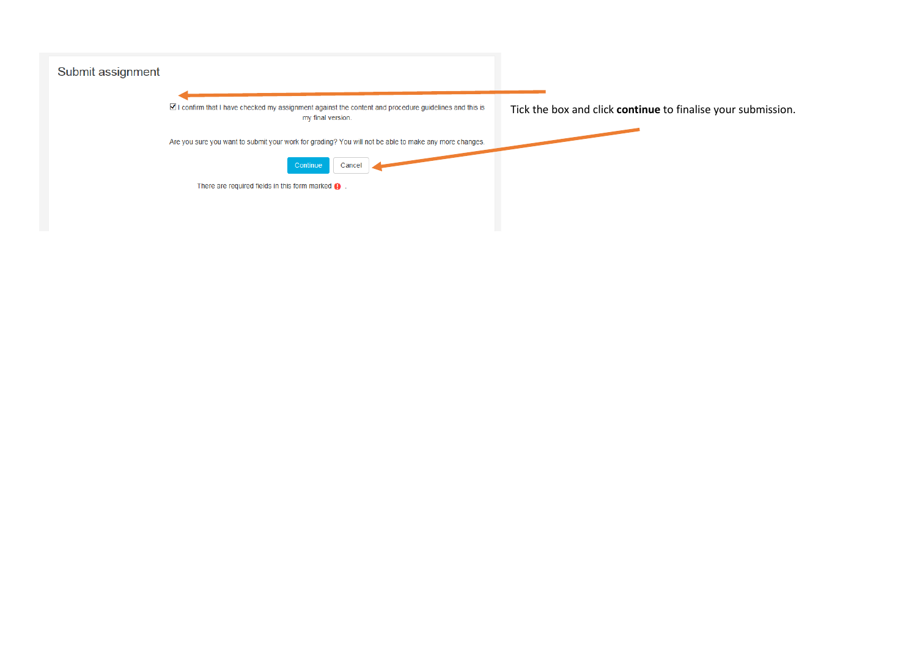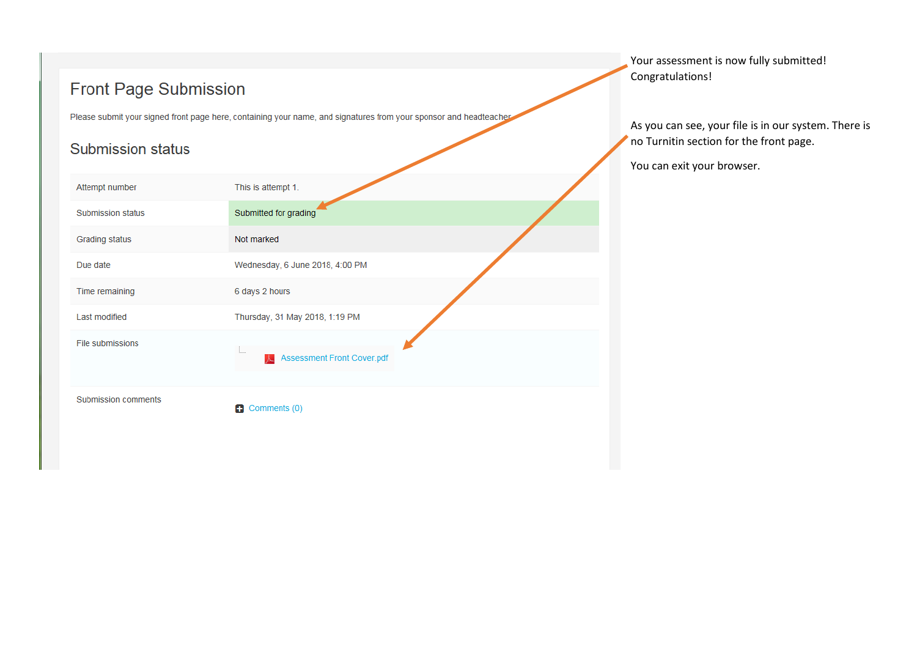# **Front Page Submission**

Please submit your signed front page here, containing your name, and signatures from your sponsor and headteacher

## **Submission status**

| Attempt number      | This is attempt 1.                          |  |
|---------------------|---------------------------------------------|--|
| Submission status   | Submitted for grading                       |  |
| Grading status      | Not marked                                  |  |
| Due date            | Wednesday, 6 June 2018, 4:00 PM             |  |
| Time remaining      | 6 days 2 hours                              |  |
| Last modified       | Thursday, 31 May 2018, 1:19 PM              |  |
| File submissions    | $\vdots$<br>Assessment Front Cover.pdf<br>人 |  |
| Submission comments | Comments (0)<br>Ð                           |  |

Your assessment is now fully submitted! Congratulations!

As you can see, your file is in our system. There is no Turnitin section for the front page.

You can exit your browser.